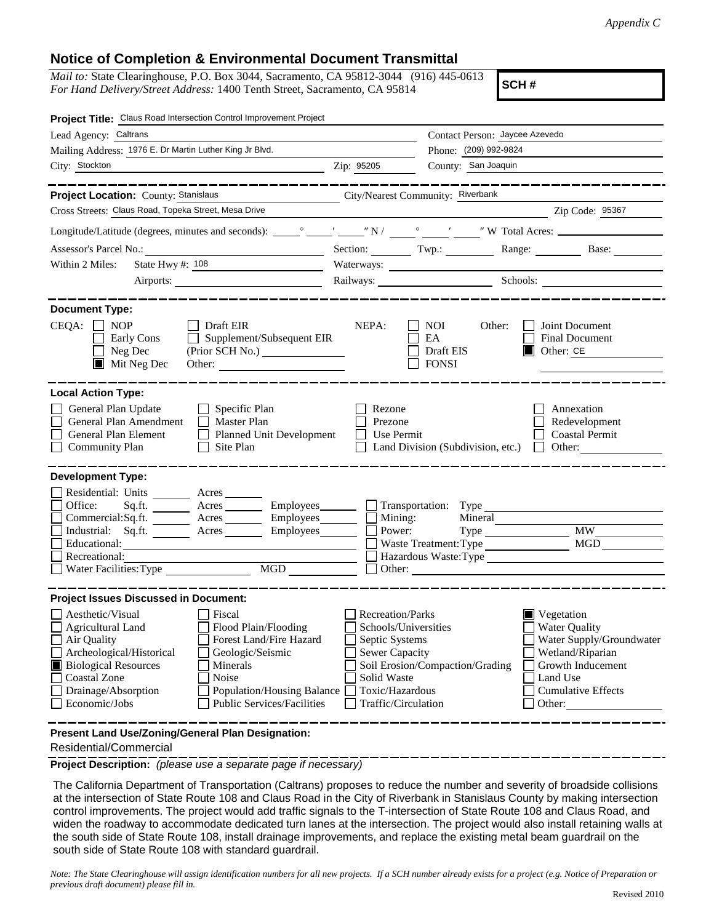## **Notice of Completion & Environmental Document Transmittal**

*Mail to:* State Clearinghouse, P.O. Box 3044, Sacramento, CA 95812-3044 (916) 445-0613 *For Hand Delivery/Street Address:* 1400 Tenth Street, Sacramento, CA 95814

**SCH #**

| Project Title: Claus Road Intersection Control Improvement Project                                                                                                                                                                                                                                                                                             |                                                                                                                                              |                                                         |                                                                                                                                                            |
|----------------------------------------------------------------------------------------------------------------------------------------------------------------------------------------------------------------------------------------------------------------------------------------------------------------------------------------------------------------|----------------------------------------------------------------------------------------------------------------------------------------------|---------------------------------------------------------|------------------------------------------------------------------------------------------------------------------------------------------------------------|
| Lead Agency: Caltrans                                                                                                                                                                                                                                                                                                                                          |                                                                                                                                              | Contact Person: Jaycee Azevedo                          |                                                                                                                                                            |
| Mailing Address: 1976 E. Dr Martin Luther King Jr Blvd.                                                                                                                                                                                                                                                                                                        |                                                                                                                                              | Phone: (209) 992-9824                                   |                                                                                                                                                            |
| City: Stockton                                                                                                                                                                                                                                                                                                                                                 | Zip: 95205                                                                                                                                   | County: San Joaquin                                     |                                                                                                                                                            |
|                                                                                                                                                                                                                                                                                                                                                                |                                                                                                                                              |                                                         |                                                                                                                                                            |
| Project Location: County: Stanislaus<br>City/Nearest Community: Riverbank                                                                                                                                                                                                                                                                                      |                                                                                                                                              |                                                         |                                                                                                                                                            |
| Cross Streets: Claus Road, Topeka Street, Mesa Drive                                                                                                                                                                                                                                                                                                           |                                                                                                                                              |                                                         | Zip Code: 95367                                                                                                                                            |
|                                                                                                                                                                                                                                                                                                                                                                |                                                                                                                                              |                                                         |                                                                                                                                                            |
|                                                                                                                                                                                                                                                                                                                                                                | Section: Twp.:                                                                                                                               |                                                         | Range: Base:                                                                                                                                               |
| State Hwy #: 108<br>Within 2 Miles:                                                                                                                                                                                                                                                                                                                            |                                                                                                                                              |                                                         |                                                                                                                                                            |
| Airports:                                                                                                                                                                                                                                                                                                                                                      |                                                                                                                                              | Railways: Schools: Schools:                             |                                                                                                                                                            |
|                                                                                                                                                                                                                                                                                                                                                                |                                                                                                                                              |                                                         |                                                                                                                                                            |
| <b>Document Type:</b><br>CEQA:<br>$\Box$ NOP<br>Draft EIR<br>Supplement/Subsequent EIR<br>Early Cons<br>Neg Dec<br>$\blacksquare$ Mit Neg Dec                                                                                                                                                                                                                  | NEPA:                                                                                                                                        | <b>NOI</b><br>Other:<br>EA<br>Draft EIS<br><b>FONSI</b> | Joint Document<br>Final Document<br>Other: CE                                                                                                              |
| <b>Local Action Type:</b><br>General Plan Update<br>$\Box$ Specific Plan<br>General Plan Amendment<br>$\Box$ Master Plan<br>General Plan Element<br>Planned Unit Development<br>$\Box$ Community Plan<br>Site Plan                                                                                                                                             | Rezone<br>Prezone<br>Use Permit                                                                                                              | Land Division (Subdivision, etc.)                       | Annexation<br>Redevelopment<br><b>Coastal Permit</b><br>Other:                                                                                             |
| <b>Development Type:</b>                                                                                                                                                                                                                                                                                                                                       |                                                                                                                                              |                                                         |                                                                                                                                                            |
| Residential: Units ________ Acres _______<br>Office:<br>Acres<br>Sq.ft.<br>Commercial:Sq.ft. ________ Acres _________ Employees ________ $\Box$<br>Industrial: Sq.ft. Acres<br>$Employees$ $\Box$<br>Educational:<br>Recreational:<br>MGD<br>Water Facilities: Type                                                                                            | $Employes \_$ $\Box$ Transportation: Type<br>Mining:<br>Power:                                                                               | Mineral<br>Waste Treatment: Type<br>Other:              | MW<br>MGD<br>Hazardous Waste: Type                                                                                                                         |
| <b>Project Issues Discussed in Document:</b>                                                                                                                                                                                                                                                                                                                   |                                                                                                                                              |                                                         |                                                                                                                                                            |
| Aesthetic/Visual<br>Fiscal<br>Agricultural Land<br>Flood Plain/Flooding<br>$\Box$ Air Quality<br>Forest Land/Fire Hazard<br>Archeological/Historical<br>Geologic/Seismic<br><b>Biological Resources</b><br>Minerals<br><b>Coastal Zone</b><br>Noise<br>Drainage/Absorption<br>Population/Housing Balance<br>Economic/Jobs<br><b>Public Services/Facilities</b> | <b>Recreation/Parks</b><br>Schools/Universities<br>Septic Systems<br>Sewer Capacity<br>Solid Waste<br>Toxic/Hazardous<br>Traffic/Circulation | Soil Erosion/Compaction/Grading                         | Vegetation<br><b>Water Quality</b><br>Water Supply/Groundwater<br>Wetland/Riparian<br>Growth Inducement<br>Land Use<br><b>Cumulative Effects</b><br>Other: |
| Present Land Use/Zoning/General Plan Designation:                                                                                                                                                                                                                                                                                                              |                                                                                                                                              |                                                         |                                                                                                                                                            |

Residential/Commercial

**Project Description:** *(please use a separate page if necessary)*

 The California Department of Transportation (Caltrans) proposes to reduce the number and severity of broadside collisions at the intersection of State Route 108 and Claus Road in the City of Riverbank in Stanislaus County by making intersection control improvements. The project would add traffic signals to the T-intersection of State Route 108 and Claus Road, and widen the roadway to accommodate dedicated turn lanes at the intersection. The project would also install retaining walls at the south side of State Route 108, install drainage improvements, and replace the existing metal beam guardrail on the south side of State Route 108 with standard guardrail.

*Note: The State Clearinghouse will assign identification numbers for all new projects. If a SCH number already exists for a project (e.g. Notice of Preparation or previous draft document) please fill in.*